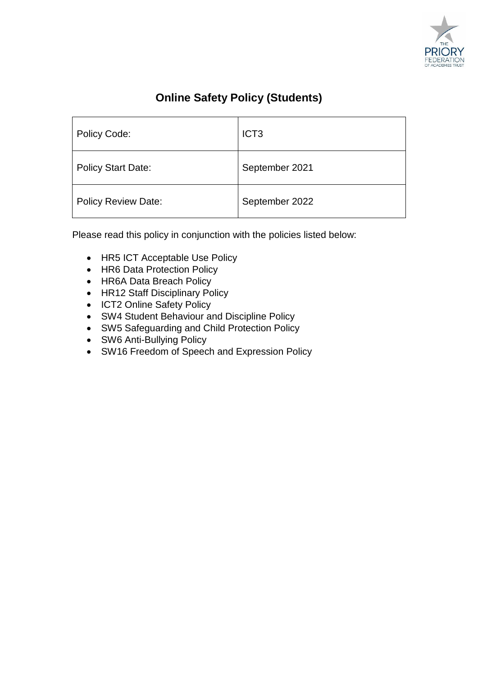

# **Online Safety Policy (Students)**

| Policy Code:              | ICT <sub>3</sub> |
|---------------------------|------------------|
| <b>Policy Start Date:</b> | September 2021   |
| Policy Review Date:       | September 2022   |

Please read this policy in conjunction with the policies listed below:

- HR5 ICT Acceptable Use Policy
- HR6 Data Protection Policy
- HR6A Data Breach Policy
- HR12 Staff Disciplinary Policy
- ICT2 Online Safety Policy
- SW4 Student Behaviour and Discipline Policy
- SW5 Safeguarding and Child Protection Policy
- SW6 Anti-Bullying Policy
- SW16 Freedom of Speech and Expression Policy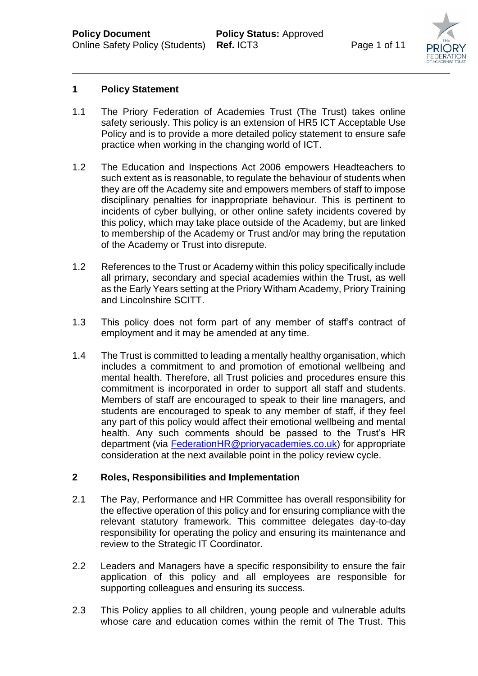

### **1 Policy Statement**

- 1.1 The Priory Federation of Academies Trust (The Trust) takes online safety seriously. This policy is an extension of HR5 ICT Acceptable Use Policy and is to provide a more detailed policy statement to ensure safe practice when working in the changing world of ICT.
- 1.2 The Education and Inspections Act 2006 empowers Headteachers to such extent as is reasonable, to regulate the behaviour of students when they are off the Academy site and empowers members of staff to impose disciplinary penalties for inappropriate behaviour. This is pertinent to incidents of cyber bullying, or other online safety incidents covered by this policy, which may take place outside of the Academy, but are linked to membership of the Academy or Trust and/or may bring the reputation of the Academy or Trust into disrepute.
- 1.2 References to the Trust or Academy within this policy specifically include all primary, secondary and special academies within the Trust, as well as the Early Years setting at the Priory Witham Academy, Priory Training and Lincolnshire SCITT.
- 1.3 This policy does not form part of any member of staff's contract of employment and it may be amended at any time.
- 1.4 The Trust is committed to leading a mentally healthy organisation, which includes a commitment to and promotion of emotional wellbeing and mental health. Therefore, all Trust policies and procedures ensure this commitment is incorporated in order to support all staff and students. Members of staff are encouraged to speak to their line managers, and students are encouraged to speak to any member of staff, if they feel any part of this policy would affect their emotional wellbeing and mental health. Any such comments should be passed to the Trust's HR department (via [FederationHR@prioryacademies.co.uk\)](mailto:FederationHR@prioryacademies.co.uk) for appropriate consideration at the next available point in the policy review cycle.

# **2 Roles, Responsibilities and Implementation**

- 2.1 The Pay, Performance and HR Committee has overall responsibility for the effective operation of this policy and for ensuring compliance with the relevant statutory framework. This committee delegates day-to-day responsibility for operating the policy and ensuring its maintenance and review to the Strategic IT Coordinator.
- 2.2 Leaders and Managers have a specific responsibility to ensure the fair application of this policy and all employees are responsible for supporting colleagues and ensuring its success.
- 2.3 This Policy applies to all children, young people and vulnerable adults whose care and education comes within the remit of The Trust. This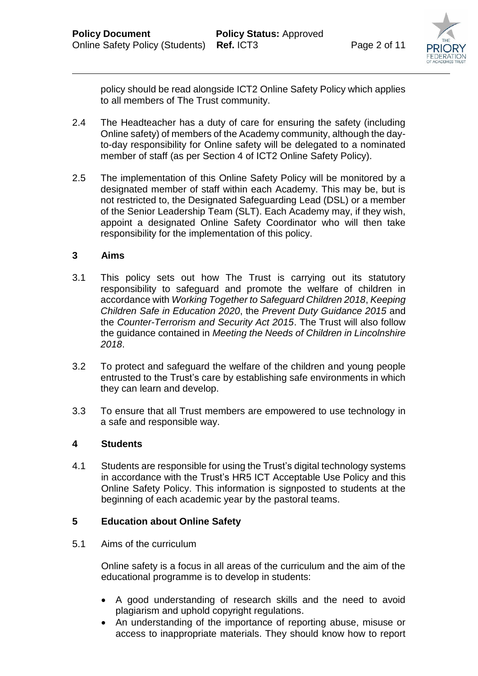

policy should be read alongside ICT2 Online Safety Policy which applies to all members of The Trust community.

- 2.4 The Headteacher has a duty of care for ensuring the safety (including Online safety) of members of the Academy community, although the dayto-day responsibility for Online safety will be delegated to a nominated member of staff (as per Section 4 of ICT2 Online Safety Policy).
- 2.5 The implementation of this Online Safety Policy will be monitored by a designated member of staff within each Academy. This may be, but is not restricted to, the Designated Safeguarding Lead (DSL) or a member of the Senior Leadership Team (SLT). Each Academy may, if they wish, appoint a designated Online Safety Coordinator who will then take responsibility for the implementation of this policy.

#### **3 Aims**

- 3.1 This policy sets out how The Trust is carrying out its statutory responsibility to safeguard and promote the welfare of children in accordance with *Working Together to Safeguard Children 2018*, *Keeping Children Safe in Education 2020*, the *Prevent Duty Guidance 2015* and the *Counter-Terrorism and Security Act 2015*. The Trust will also follow the guidance contained in *Meeting the Needs of Children in Lincolnshire 2018*.
- 3.2 To protect and safeguard the welfare of the children and young people entrusted to the Trust's care by establishing safe environments in which they can learn and develop.
- 3.3 To ensure that all Trust members are empowered to use technology in a safe and responsible way.

#### **4 Students**

4.1 Students are responsible for using the Trust's digital technology systems in accordance with the Trust's HR5 ICT Acceptable Use Policy and this Online Safety Policy. This information is signposted to students at the beginning of each academic year by the pastoral teams.

# **5 Education about Online Safety**

5.1 Aims of the curriculum

Online safety is a focus in all areas of the curriculum and the aim of the educational programme is to develop in students:

- A good understanding of research skills and the need to avoid plagiarism and uphold copyright regulations.
- An understanding of the importance of reporting abuse, misuse or access to inappropriate materials. They should know how to report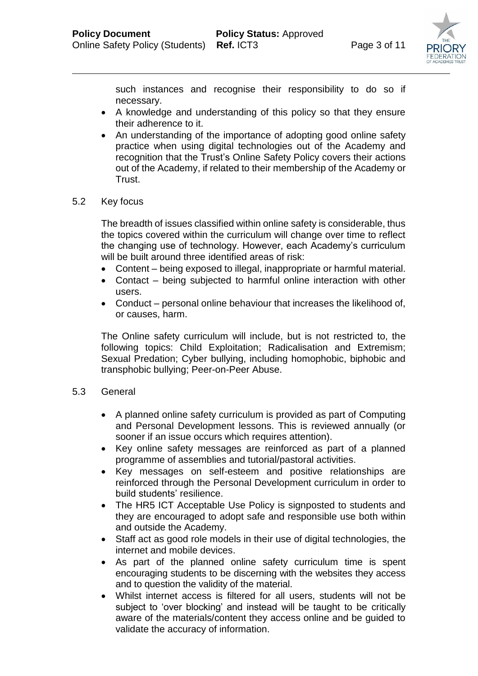

such instances and recognise their responsibility to do so if necessary.

- A knowledge and understanding of this policy so that they ensure their adherence to it.
- An understanding of the importance of adopting good online safety practice when using digital technologies out of the Academy and recognition that the Trust's Online Safety Policy covers their actions out of the Academy, if related to their membership of the Academy or Trust.

# 5.2 Key focus

The breadth of issues classified within online safety is considerable, thus the topics covered within the curriculum will change over time to reflect the changing use of technology. However, each Academy's curriculum will be built around three identified areas of risk:

- Content being exposed to illegal, inappropriate or harmful material.
- Contact being subjected to harmful online interaction with other users.
- Conduct personal online behaviour that increases the likelihood of, or causes, harm.

The Online safety curriculum will include, but is not restricted to, the following topics: Child Exploitation; Radicalisation and Extremism; Sexual Predation; Cyber bullying, including homophobic, biphobic and transphobic bullying; Peer-on-Peer Abuse.

#### 5.3 General

- A planned online safety curriculum is provided as part of Computing and Personal Development lessons. This is reviewed annually (or sooner if an issue occurs which requires attention).
- Key online safety messages are reinforced as part of a planned programme of assemblies and tutorial/pastoral activities.
- Key messages on self-esteem and positive relationships are reinforced through the Personal Development curriculum in order to build students' resilience.
- The HR5 ICT Acceptable Use Policy is signposted to students and they are encouraged to adopt safe and responsible use both within and outside the Academy.
- Staff act as good role models in their use of digital technologies, the internet and mobile devices.
- As part of the planned online safety curriculum time is spent encouraging students to be discerning with the websites they access and to question the validity of the material.
- Whilst internet access is filtered for all users, students will not be subject to 'over blocking' and instead will be taught to be critically aware of the materials/content they access online and be guided to validate the accuracy of information.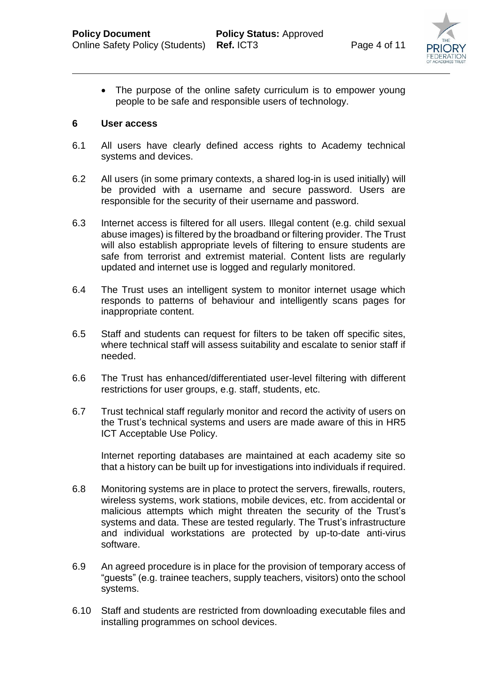

• The purpose of the online safety curriculum is to empower young people to be safe and responsible users of technology.

#### **6 User access**

- 6.1 All users have clearly defined access rights to Academy technical systems and devices.
- 6.2 All users (in some primary contexts, a shared log-in is used initially) will be provided with a username and secure password. Users are responsible for the security of their username and password.
- 6.3 Internet access is filtered for all users. Illegal content (e.g. child sexual abuse images) is filtered by the broadband or filtering provider. The Trust will also establish appropriate levels of filtering to ensure students are safe from terrorist and extremist material. Content lists are regularly updated and internet use is logged and regularly monitored.
- 6.4 The Trust uses an intelligent system to monitor internet usage which responds to patterns of behaviour and intelligently scans pages for inappropriate content.
- 6.5 Staff and students can request for filters to be taken off specific sites, where technical staff will assess suitability and escalate to senior staff if needed.
- 6.6 The Trust has enhanced/differentiated user-level filtering with different restrictions for user groups, e.g. staff, students, etc.
- 6.7 Trust technical staff regularly monitor and record the activity of users on the Trust's technical systems and users are made aware of this in HR5 ICT Acceptable Use Policy.

Internet reporting databases are maintained at each academy site so that a history can be built up for investigations into individuals if required.

- 6.8 Monitoring systems are in place to protect the servers, firewalls, routers, wireless systems, work stations, mobile devices, etc. from accidental or malicious attempts which might threaten the security of the Trust's systems and data. These are tested regularly. The Trust's infrastructure and individual workstations are protected by up-to-date anti-virus software.
- 6.9 An agreed procedure is in place for the provision of temporary access of "guests" (e.g. trainee teachers, supply teachers, visitors) onto the school systems.
- 6.10 Staff and students are restricted from downloading executable files and installing programmes on school devices.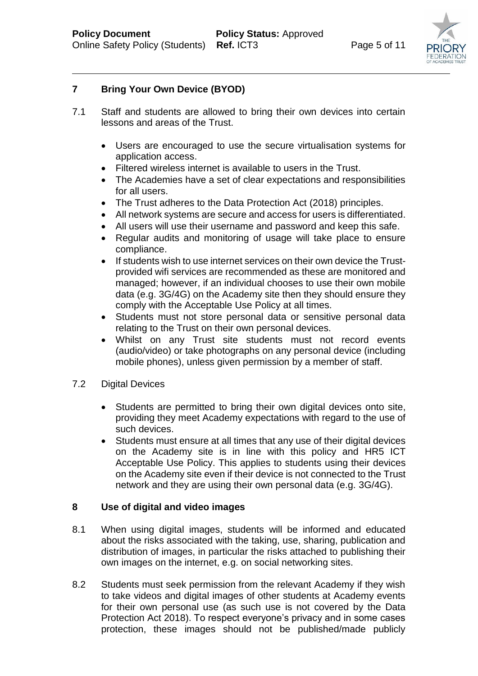

# **7 Bring Your Own Device (BYOD)**

- 7.1 Staff and students are allowed to bring their own devices into certain lessons and areas of the Trust.
	- Users are encouraged to use the secure virtualisation systems for application access.
	- Filtered wireless internet is available to users in the Trust.
	- The Academies have a set of clear expectations and responsibilities for all users.
	- The Trust adheres to the Data Protection Act (2018) principles.
	- All network systems are secure and access for users is differentiated.
	- All users will use their username and password and keep this safe.
	- Regular audits and monitoring of usage will take place to ensure compliance.
	- If students wish to use internet services on their own device the Trustprovided wifi services are recommended as these are monitored and managed; however, if an individual chooses to use their own mobile data (e.g. 3G/4G) on the Academy site then they should ensure they comply with the Acceptable Use Policy at all times.
	- Students must not store personal data or sensitive personal data relating to the Trust on their own personal devices.
	- Whilst on any Trust site students must not record events (audio/video) or take photographs on any personal device (including mobile phones), unless given permission by a member of staff.
- 7.2 Digital Devices
	- Students are permitted to bring their own digital devices onto site, providing they meet Academy expectations with regard to the use of such devices.
	- Students must ensure at all times that any use of their digital devices on the Academy site is in line with this policy and HR5 ICT Acceptable Use Policy. This applies to students using their devices on the Academy site even if their device is not connected to the Trust network and they are using their own personal data (e.g. 3G/4G).

# **8 Use of digital and video images**

- 8.1 When using digital images, students will be informed and educated about the risks associated with the taking, use, sharing, publication and distribution of images, in particular the risks attached to publishing their own images on the internet, e.g. on social networking sites.
- 8.2 Students must seek permission from the relevant Academy if they wish to take videos and digital images of other students at Academy events for their own personal use (as such use is not covered by the Data Protection Act 2018). To respect everyone's privacy and in some cases protection, these images should not be published/made publicly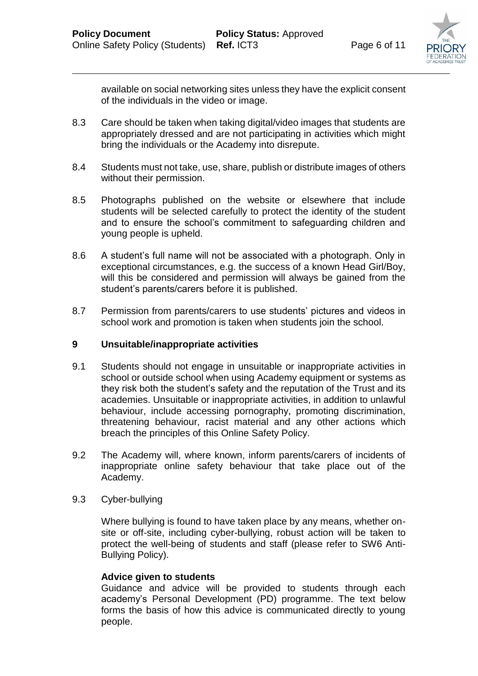

available on social networking sites unless they have the explicit consent of the individuals in the video or image.

- 8.3 Care should be taken when taking digital/video images that students are appropriately dressed and are not participating in activities which might bring the individuals or the Academy into disrepute.
- 8.4 Students must not take, use, share, publish or distribute images of others without their permission.
- 8.5 Photographs published on the website or elsewhere that include students will be selected carefully to protect the identity of the student and to ensure the school's commitment to safeguarding children and young people is upheld.
- 8.6 A student's full name will not be associated with a photograph. Only in exceptional circumstances, e.g. the success of a known Head Girl/Boy, will this be considered and permission will always be gained from the student's parents/carers before it is published.
- 8.7 Permission from parents/carers to use students' pictures and videos in school work and promotion is taken when students join the school.

#### **9 Unsuitable/inappropriate activities**

- 9.1 Students should not engage in unsuitable or inappropriate activities in school or outside school when using Academy equipment or systems as they risk both the student's safety and the reputation of the Trust and its academies. Unsuitable or inappropriate activities, in addition to unlawful behaviour, include accessing pornography, promoting discrimination, threatening behaviour, racist material and any other actions which breach the principles of this Online Safety Policy.
- 9.2 The Academy will, where known, inform parents/carers of incidents of inappropriate online safety behaviour that take place out of the Academy.
- 9.3 Cyber-bullying

Where bullying is found to have taken place by any means, whether onsite or off-site, including cyber-bullying, robust action will be taken to protect the well-being of students and staff (please refer to SW6 Anti-Bullying Policy).

#### **Advice given to students**

Guidance and advice will be provided to students through each academy's Personal Development (PD) programme. The text below forms the basis of how this advice is communicated directly to young people.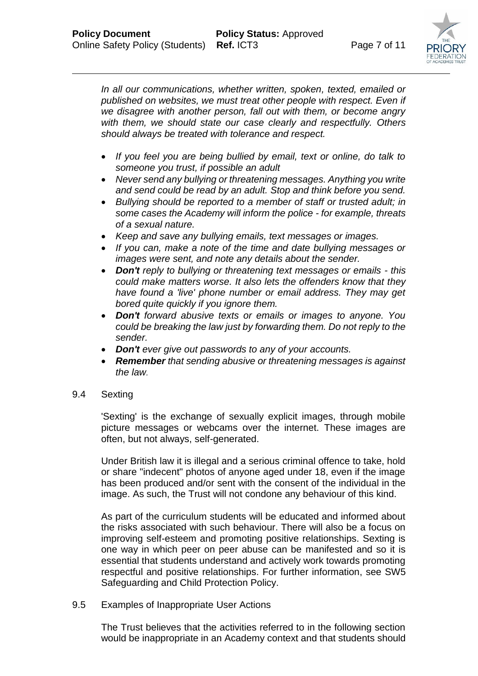

*In all our communications, whether written, spoken, texted, emailed or published on websites, we must treat other people with respect. Even if we disagree with another person, fall out with them, or become angry with them, we should state our case clearly and respectfully. Others should always be treated with tolerance and respect.* 

- *If you feel you are being bullied by email, text or online, do talk to someone you trust, if possible an adult*
- *Never send any bullying or threatening messages. Anything you write and send could be read by an adult. Stop and think before you send.*
- *Bullying should be reported to a member of staff or trusted adult; in some cases the Academy will inform the police - for example, threats of a sexual nature.*
- *Keep and save any bullying emails, text messages or images.*
- *If you can, make a note of the time and date bullying messages or images were sent, and note any details about the sender.*
- *Don't reply to bullying or threatening text messages or emails - this could make matters worse. It also lets the offenders know that they have found a 'live' phone number or email address. They may get bored quite quickly if you ignore them.*
- *Don't forward abusive texts or emails or images to anyone. You could be breaking the law just by forwarding them. Do not reply to the sender.*
- *Don't ever give out passwords to any of your accounts.*
- *Remember that sending abusive or threatening messages is against the law.*
- 9.4 Sexting

'Sexting' is the exchange of sexually explicit images, through mobile picture messages or webcams over the internet. These images are often, but not always, self-generated.

Under British law it is illegal and a serious criminal offence to take, hold or share "indecent" photos of anyone aged under 18, even if the image has been produced and/or sent with the consent of the individual in the image. As such, the Trust will not condone any behaviour of this kind.

As part of the curriculum students will be educated and informed about the risks associated with such behaviour. There will also be a focus on improving self-esteem and promoting positive relationships. Sexting is one way in which peer on peer abuse can be manifested and so it is essential that students understand and actively work towards promoting respectful and positive relationships. For further information, see SW5 Safeguarding and Child Protection Policy.

9.5 Examples of Inappropriate User Actions

The Trust believes that the activities referred to in the following section would be inappropriate in an Academy context and that students should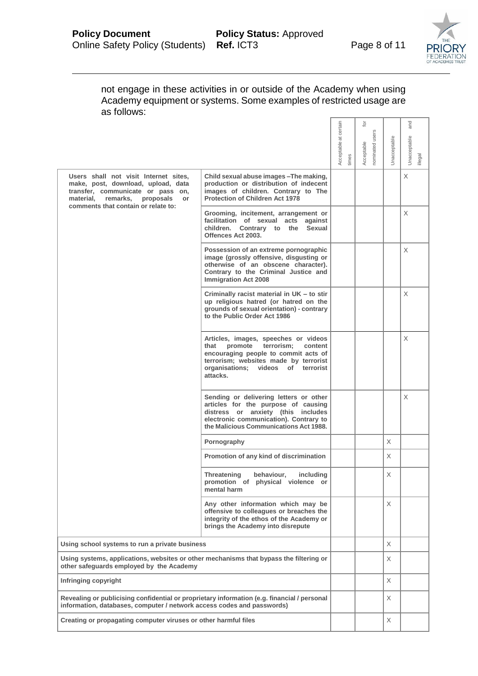

| not engage in these activities in or outside of the Academy when using<br>Academy equipment or systems. Some examples of restricted usage are<br>as follows:                                        |                                                                                                                                                                                                                     |                               |                                                 |              |                               |
|-----------------------------------------------------------------------------------------------------------------------------------------------------------------------------------------------------|---------------------------------------------------------------------------------------------------------------------------------------------------------------------------------------------------------------------|-------------------------------|-------------------------------------------------|--------------|-------------------------------|
|                                                                                                                                                                                                     |                                                                                                                                                                                                                     | Acceptable at certain<br>imes | $\overline{c}$<br>nominated users<br>Acceptable | Unacceptable | and<br>Unacceptable<br>llegal |
| Users shall not visit Internet sites,<br>make, post, download, upload, data<br>transfer, communicate or pass on,<br>remarks,<br>material,<br>proposals<br>or<br>comments that contain or relate to: | Child sexual abuse images - The making,<br>production or distribution of indecent<br>images of children. Contrary to The<br><b>Protection of Children Act 1978</b>                                                  |                               |                                                 |              | X                             |
|                                                                                                                                                                                                     | Grooming, incitement, arrangement or<br>facilitation of sexual acts against<br>children. Contrary to the Sexual<br>Offences Act 2003.                                                                               |                               |                                                 |              | Χ                             |
|                                                                                                                                                                                                     | Possession of an extreme pornographic<br>image (grossly offensive, disgusting or<br>otherwise of an obscene character).<br>Contrary to the Criminal Justice and<br><b>Immigration Act 2008</b>                      |                               |                                                 |              | Χ                             |
|                                                                                                                                                                                                     | Criminally racist material in UK - to stir<br>up religious hatred (or hatred on the<br>grounds of sexual orientation) - contrary<br>to the Public Order Act 1986                                                    |                               |                                                 |              | X                             |
|                                                                                                                                                                                                     | Articles, images, speeches or videos<br>promote terrorism;<br>that<br>content<br>encouraging people to commit acts of<br>terrorism; websites made by terrorist<br>organisations; videos<br>of terrorist<br>attacks. |                               |                                                 |              | X                             |
|                                                                                                                                                                                                     | Sending or delivering letters or other<br>articles for the purpose of causing<br>distress or anxiety (this includes<br>electronic communication). Contrary to<br>the Malicious Communications Act 1988.             |                               |                                                 |              | X                             |
|                                                                                                                                                                                                     | Pornography                                                                                                                                                                                                         |                               |                                                 | Χ            |                               |
|                                                                                                                                                                                                     | Promotion of any kind of discrimination                                                                                                                                                                             |                               |                                                 | X            |                               |
|                                                                                                                                                                                                     | Threatening<br>behaviour.<br><i>including</i><br>promotion of physical violence or<br>mental harm                                                                                                                   |                               |                                                 | X            |                               |
|                                                                                                                                                                                                     | Any other information which may be<br>offensive to colleagues or breaches the<br>integrity of the ethos of the Academy or<br>brings the Academy into disrepute                                                      |                               |                                                 | X            |                               |
| Using school systems to run a private business                                                                                                                                                      |                                                                                                                                                                                                                     |                               |                                                 | X            |                               |
| Using systems, applications, websites or other mechanisms that bypass the filtering or<br>other safequards employed by the Academy                                                                  |                                                                                                                                                                                                                     |                               |                                                 | X            |                               |
| Infringing copyright                                                                                                                                                                                |                                                                                                                                                                                                                     |                               |                                                 | X            |                               |
| Revealing or publicising confidential or proprietary information (e.g. financial / personal<br>information, databases, computer / network access codes and passwords)                               |                                                                                                                                                                                                                     |                               |                                                 | X            |                               |
| Creating or propagating computer viruses or other harmful files                                                                                                                                     |                                                                                                                                                                                                                     |                               |                                                 | X            |                               |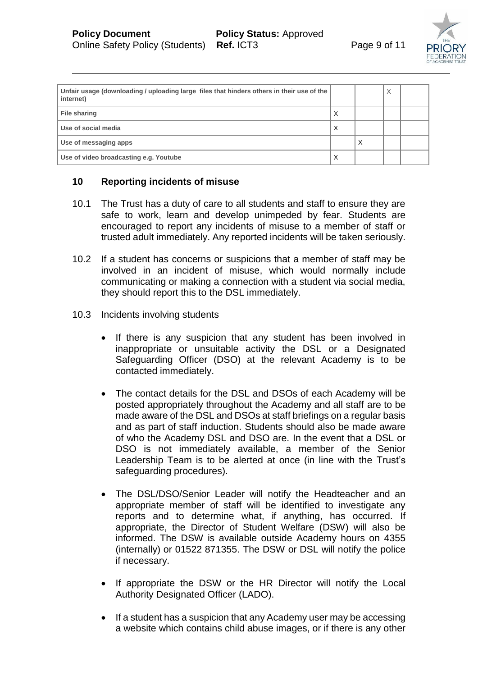

| Unfair usage (downloading / uploading large files that hinders others in their use of the<br>internet) |   |   | Χ |  |
|--------------------------------------------------------------------------------------------------------|---|---|---|--|
| <b>File sharing</b>                                                                                    | ⋏ |   |   |  |
| Use of social media                                                                                    | X |   |   |  |
| Use of messaging apps                                                                                  |   | X |   |  |
| Use of video broadcasting e.g. Youtube                                                                 | ⋏ |   |   |  |

# **10 Reporting incidents of misuse**

- 10.1 The Trust has a duty of care to all students and staff to ensure they are safe to work, learn and develop unimpeded by fear. Students are encouraged to report any incidents of misuse to a member of staff or trusted adult immediately. Any reported incidents will be taken seriously.
- 10.2 If a student has concerns or suspicions that a member of staff may be involved in an incident of misuse, which would normally include communicating or making a connection with a student via social media, they should report this to the DSL immediately.
- 10.3 Incidents involving students
	- If there is any suspicion that any student has been involved in inappropriate or unsuitable activity the DSL or a Designated Safeguarding Officer (DSO) at the relevant Academy is to be contacted immediately.
	- The contact details for the DSL and DSOs of each Academy will be posted appropriately throughout the Academy and all staff are to be made aware of the DSL and DSOs at staff briefings on a regular basis and as part of staff induction. Students should also be made aware of who the Academy DSL and DSO are. In the event that a DSL or DSO is not immediately available, a member of the Senior Leadership Team is to be alerted at once (in line with the Trust's safeguarding procedures).
	- The DSL/DSO/Senior Leader will notify the Headteacher and an appropriate member of staff will be identified to investigate any reports and to determine what, if anything, has occurred. If appropriate, the Director of Student Welfare (DSW) will also be informed. The DSW is available outside Academy hours on 4355 (internally) or 01522 871355. The DSW or DSL will notify the police if necessary.
	- If appropriate the DSW or the HR Director will notify the Local Authority Designated Officer (LADO).
	- If a student has a suspicion that any Academy user may be accessing a website which contains child abuse images, or if there is any other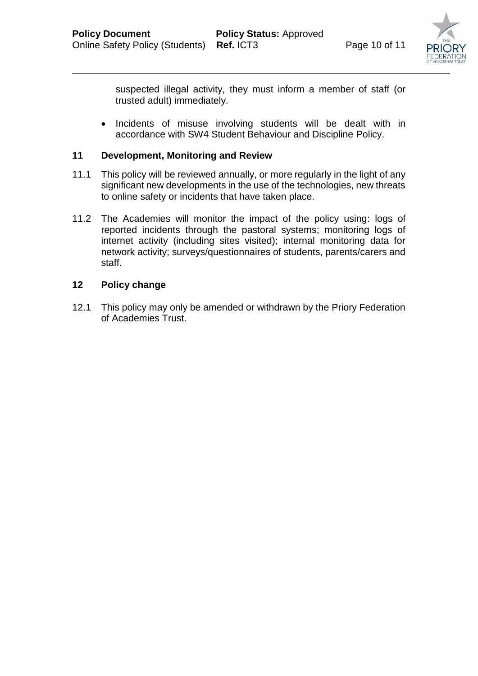

suspected illegal activity, they must inform a member of staff (or trusted adult) immediately.

• Incidents of misuse involving students will be dealt with in accordance with SW4 Student Behaviour and Discipline Policy.

# **11 Development, Monitoring and Review**

- 11.1 This policy will be reviewed annually, or more regularly in the light of any significant new developments in the use of the technologies, new threats to online safety or incidents that have taken place.
- 11.2 The Academies will monitor the impact of the policy using: logs of reported incidents through the pastoral systems; monitoring logs of internet activity (including sites visited); internal monitoring data for network activity; surveys/questionnaires of students, parents/carers and staff.

# **12 Policy change**

12.1 This policy may only be amended or withdrawn by the Priory Federation of Academies Trust.